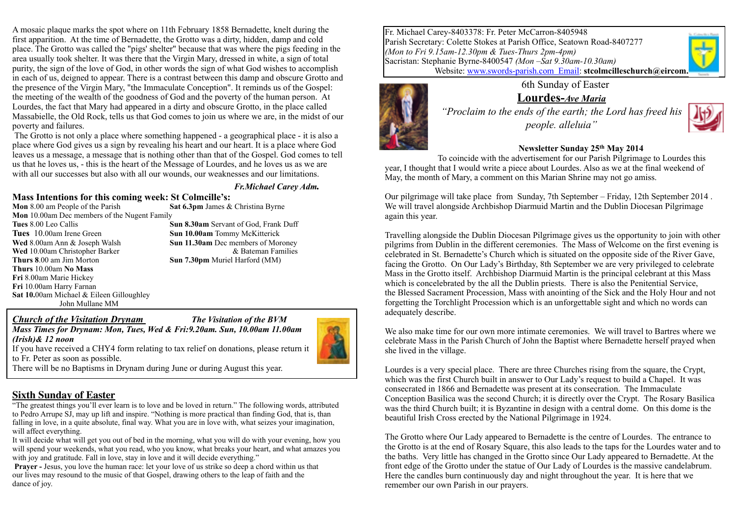A mosaic plaque marks the spot where on 11th February 1858 Bernadette, knelt during the first apparition. At the time of Bernadette, the Grotto was a dirty, hidden, damp and cold place. The Grotto was called the "pigs' shelter" because that was where the pigs feeding in the area usually took shelter. It was there that the Virgin Mary, dressed in white, a sign of total purity, the sign of the love of God, in other words the sign of what God wishes to accomplish in each of us, deigned to appear. There is a contrast between this damp and obscure Grotto and the presence of the Virgin Mary, "the Immaculate Conception". It reminds us of the Gospel: the meeting of the wealth of the goodness of God and the poverty of the human person. At Lourdes, the fact that Mary had appeared in a dirty and obscure Grotto, in the place called Massabielle, the Old Rock, tells us that God comes to join us where we are, in the midst of our poverty and failures.

 The Grotto is not only a place where something happened - a geographical place - it is also a place where God gives us a sign by revealing his heart and our heart. It is a place where God leaves us a message, a message that is nothing other than that of the Gospel. God comes to tell us that he loves us, - this is the heart of the Message of Lourdes, and he loves us as we are with all our successes but also with all our wounds, our weaknesses and our limitations.

#### *Fr.Michael Carey Adm.*

#### **Mass Intentions for this coming week: St Colmcille's:**

**Mon** 8.00 am People of the Parish **Sat 6.3pm** James & Christina Byrne **Mon** 10.00am Dec members of the Nugent Family **Tues** 8.00 Leo Callis **Sun 8.30am** Servant of God, Frank Duff **Tues** 10.00am Irene Green **Sun 10.00am** Tommy McKitterick **Wed** 8.00am Ann & Joseph Walsh **Sun 11.30am** Dec members of Moroney **Wed** 10.00am Christopher Barker **blue and Example 2018** and the Barker & Bateman Families **Thurs 8**.00 am Jim Morton **Sun 7.30pm** Muriel Harford (MM) **Thurs** 10.00am **No Mass Fri** 8.00am Marie Hickey **Fri** 10.00am Harry Farnan **Sat 10.**00am Michael & Eileen Gilloughley John Mullane MM

*Church of the Visitation Drynam The Visitation of the BVM*

*Mass Times for Drynam: Mon, Tues, Wed & Fri:9.20am. Sun, 10.00am 11.00am (Irish)& 12 noon* 

If you have received a CHY4 form relating to tax relief on donations, please return it to Fr. Peter as soon as possible.

There will be no Baptisms in Drynam during June or during August this year.

#### **Sixth Sunday of Easter**

"The greatest things you'll ever learn is to love and be loved in return." The following words, attributed to Pedro Arrupe SJ, may up lift and inspire. "Nothing is more practical than finding God, that is, than falling in love, in a quite absolute, final way. What you are in love with, what seizes your imagination, will affect everything.

It will decide what will get you out of bed in the morning, what you will do with your evening, how you will spend your weekends, what you read, who you know, what breaks your heart, and what amazes you with joy and gratitude. Fall in love, stay in love and it will decide everything."

**Prayer - Jesus, you love the human race: let your love of us strike so deep a chord within us that** our lives may resound to the music of that Gospel, drawing others to the leap of faith and the dance of joy.

Fr. Michael Carey-8403378: Fr. Peter McCarron-8405948 Parish Secretary: Colette Stokes at Parish Office, Seatown Road-8407277 *(Mon to Fri 9.15am-12.30pm & Tues-Thurs 2pm-4pm)* Sacristan: Stephanie Byrne-8400547 *(Mon –Sat 9.30am-10.30am)* Website: [www.swords-parish.com Email:](http://www.swords-parish.com%20%20email) **stcolmcilleschurch@eircom.** 

> 6th Sunday of Easter **Lourdes-***Ave Maria "Proclaim to the ends of the earth; the Lord has freed his people. alleluia"*



### **Newsletter Sunday 25th May 2014**

To coincide with the advertisement for our Parish Pilgrimage to Lourdes this year, I thought that I would write a piece about Lourdes. Also as we at the final weekend of May, the month of Mary, a comment on this Marian Shrine may not go amiss.

Our pilgrimage will take place from Sunday, 7th September – Friday, 12th September 2014 . We will travel alongside Archbishop Diarmuid Martin and the Dublin Diocesan Pilgrimage again this year.

Travelling alongside the Dublin Diocesan Pilgrimage gives us the opportunity to join with other pilgrims from Dublin in the different ceremonies. The Mass of Welcome on the first evening is celebrated in St. Bernadette's Church which is situated on the opposite side of the River Gave, facing the Grotto. On Our Lady's Birthday, 8th September we are very privileged to celebrate Mass in the Grotto itself. Archbishop Diarmuid Martin is the principal celebrant at this Mass which is concelebrated by the all the Dublin priests. There is also the Penitential Service, the Blessed Sacrament Procession, Mass with anointing of the Sick and the Holy Hour and not forgetting the Torchlight Procession which is an unforgettable sight and which no words can adequately describe.

We also make time for our own more intimate ceremonies. We will travel to Bartres where we celebrate Mass in the Parish Church of John the Baptist where Bernadette herself prayed when she lived in the village.

Lourdes is a very special place. There are three Churches rising from the square, the Crypt, which was the first Church built in answer to Our Lady's request to build a Chapel. It was consecrated in 1866 and Bernadette was present at its consecration. The Immaculate Conception Basilica was the second Church; it is directly over the Crypt. The Rosary Basilica was the third Church built; it is Byzantine in design with a central dome. On this dome is the beautiful Irish Cross erected by the National Pilgrimage in 1924.

The Grotto where Our Lady appeared to Bernadette is the centre of Lourdes. The entrance to the Grotto is at the end of Rosary Square, this also leads to the taps for the Lourdes water and to the baths. Very little has changed in the Grotto since Our Lady appeared to Bernadette. At the front edge of the Grotto under the statue of Our Lady of Lourdes is the massive candelabrum. Here the candles burn continuously day and night throughout the year. It is here that we remember our own Parish in our prayers.